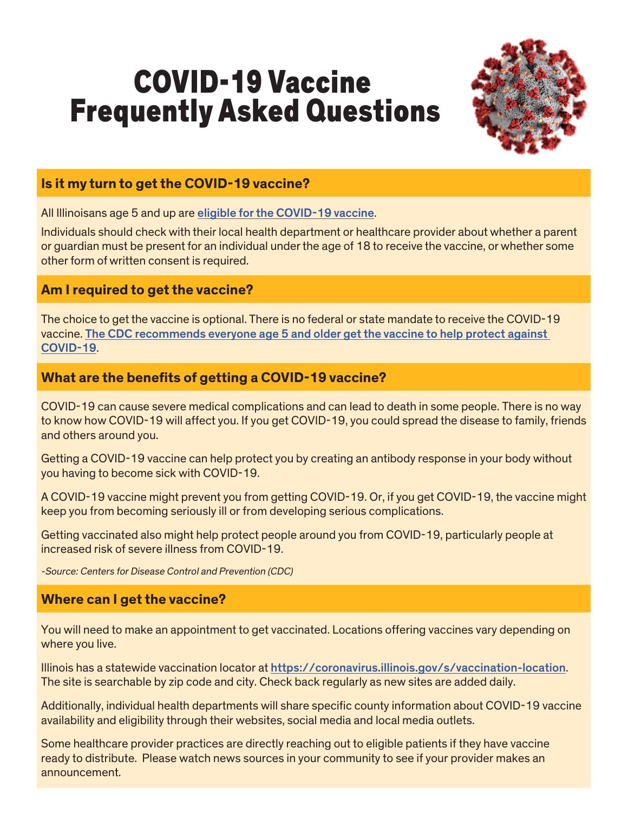# COVID-19 Vaccine Frequently Asked Questions



## **Is it my turn to get the COVID-19 vaccine?**

All Illinoisans age 5 and up are [eligible for the COVID-19 vaccine](https://coronavirus.illinois.gov/s/vaccination-plan-overview).

Individuals should check with their local health department or healthcare provider about whether a parent or guardian must be present for an individual under the age of 18 to receive the vaccine, or whether some other form of written consent is required.

## **Am I required to get the vaccine?**

The choice to get the vaccine is optional. There is no federal or state mandate to receive the COVID-19 vaccine. [The CDC recommends everyone age 5 and older get the vaccine to help protect against](https://www.cdc.gov/coronavirus/2019-ncov/vaccines/recommendations/children-teens.html)  [COVID-19](https://www.cdc.gov/coronavirus/2019-ncov/vaccines/recommendations/children-teens.html).

# **What are the benefits of getting a COVID-19 vaccine?**

COVID-19 can cause severe medical complications and can lead to death in some people. There is no way to know how COVID-19 will affect you. If you get COVID-19, you could spread the disease to family, friends and others around you.

Getting a COVID-19 vaccine can help protect you by creating an antibody response in your body without you having to become sick with COVID-19.

A COVID-19 vaccine might prevent you from getting COVID-19. Or, if you get COVID-19, the vaccine might keep you from becoming seriously ill or from developing serious complications.

Getting vaccinated also might help protect people around you from COVID-19, particularly people at increased risk of severe illness from COVID-19.

-Source: Centers for Disease Control and Prevention (CDC)

#### **Where can I get the vaccine?**

You will need to make an appointment to get vaccinated. Locations offering vaccines vary depending on where you live.

Illinois has a statewide vaccination locator at <https://coronavirus.illinois.gov/s/vaccination-location>. The site is searchable by zip code and city. Check back regularly as new sites are added daily.

Additionally, individual health departments will share specific county information about COVID-19 vaccine availability and eligibility through their websites, social media and local media outlets.

Some healthcare provider practices are directly reaching out to eligible patients if they have vaccine ready to distribute. Please watch news sources in your community to see if your provider makes an announcement.